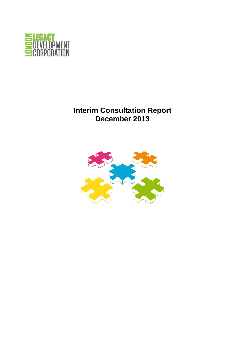

## **Interim Consultation Report December 2013**

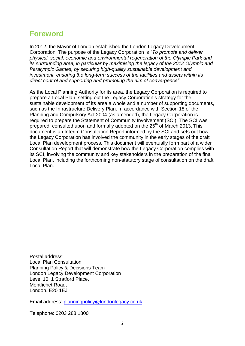## **Foreword**

In 2012, the Mayor of London established the London Legacy Development Corporation. The purpose of the Legacy Corporation is *"To promote and deliver physical, social, economic and environmental regeneration of the Olympic Park and its surrounding area, in particular by maximising the legacy of the 2012 Olympic and Paralympic Games, by securing high-quality sustainable development and investment, ensuring the long-term success of the facilities and assets within its direct control and supporting and promoting the aim of convergence"*.

As the Local Planning Authority for its area, the Legacy Corporation is required to prepare a Local Plan, setting out the Legacy Corporation's strategy for the sustainable development of its area a whole and a number of supporting documents, such as the Infrastructure Delivery Plan. In accordance with Section 18 of the Planning and Compulsory Act 2004 (as amended), the Legacy Corporation is required to prepare the Statement of Community Involvement (SCI). The SCI was prepared, consulted upon and formally adopted on the 25<sup>th</sup> of March 2013. This document is an Interim Consultation Report informed by the SCI and sets out how the Legacy Corporation has involved the community in the early stages of the draft Local Plan development process. This document will eventually form part of a wider Consultation Report that will demonstrate how the Legacy Corporation complies with its SCI, involving the community and key stakeholders in the preparation of the final Local Plan, including the forthcoming non-statutory stage of consultation on the draft Local Plan.

Postal address: Local Plan Consultation Planning Policy & Decisions Team London Legacy Development Corporation Level 10, 1 Stratford Place, Montfichet Road, London. E20 1EJ

Email address: [planningpolicy@londonlegacy.co.uk](mailto:planningpolicy@londonlegacy.co.uk)

Telephone: 0203 288 1800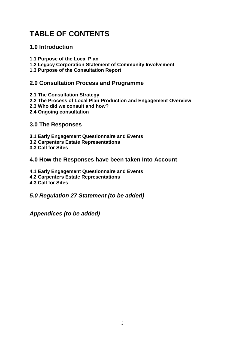# **TABLE OF CONTENTS**

## **1.0 Introduction**

- **1.1 Purpose of the Local Plan**
- **1.2 Legacy Corporation Statement of Community Involvement**
- **1.3 Purpose of the Consultation Report**

## **2.0 Consultation Process and Programme**

- **2.1 The Consultation Strategy**
- **2.2 The Process of Local Plan Production and Engagement Overview**
- **2.3 Who did we consult and how?**
- **2.4 Ongoing consultation**

## **3.0 The Responses**

- **3.1 Early Engagement Questionnaire and Events**
- **3.2 Carpenters Estate Representations**
- **3.3 Call for Sites**

### **4.0 How the Responses have been taken Into Account**

- **4.1 Early Engagement Questionnaire and Events**
- **4.2 Carpenters Estate Representations**
- **4.3 Call for Sites**
- *5.0 Regulation 27 Statement (to be added)*

*Appendices (to be added)*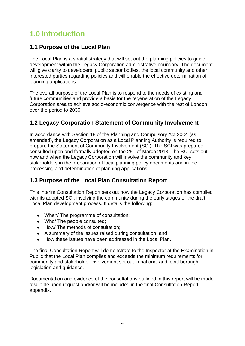# **1.0 Introduction**

## **1.1 Purpose of the Local Plan**

The Local Plan is a spatial strategy that will set out the planning policies to guide development within the Legacy Corporation administrative boundary. The document will give clarity to developers, public sector bodies, the local community and other interested parties regarding policies and will enable the effective determination of planning applications.

The overall purpose of the Local Plan is to respond to the needs of existing and future communities and provide a basis for the regeneration of the Legacy Corporation area to achieve socio-economic convergence with the rest of London over the period to 2030.

## **1.2 Legacy Corporation Statement of Community Involvement**

In accordance with Section 18 of the Planning and Compulsory Act 2004 (as amended), the Legacy Corporation as a Local Planning Authority is required to prepare the Statement of Community Involvement (SCI). The SCI was prepared,  $\overline{\phantom{a}}$  consulted upon and formally adopted on the 25<sup>th</sup> of March 2013. The SCI sets out how and when the Legacy Corporation will involve the community and key stakeholders in the preparation of local planning policy documents and in the processing and determination of planning applications.

## **1.3 Purpose of the Local Plan Consultation Report**

This Interim Consultation Report sets out how the Legacy Corporation has complied with its adopted SCI, involving the community during the early stages of the draft Local Plan development process. It details the following:

- When/ The programme of consultation;
- Who/ The people consulted;
- How/ The methods of consultation;
- A summary of the issues raised during consultation; and
- How these issues have been addressed in the Local Plan.

The final Consultation Report will demonstrate to the Inspector at the Examination in Public that the Local Plan complies and exceeds the minimum requirements for community and stakeholder involvement set out in national and local borough legislation and guidance.

Documentation and evidence of the consultations outlined in this report will be made available upon request and/or will be included in the final Consultation Report appendix.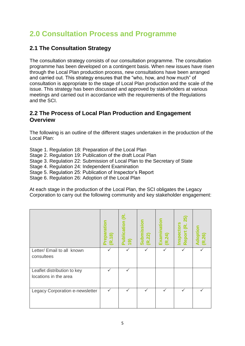# **2.0 Consultation Process and Programme**

## **2.1 The Consultation Strategy**

The consultation strategy consists of our consultation programme. The consultation programme has been developed on a contingent basis. When new issues have risen through the Local Plan production process, new consultations have been arranged and carried out. This strategy ensures that the "who, how, and how much" of consultation is appropriate to the stage of Local Plan production and the scale of the issue. This strategy has been discussed and approved by stakeholders at various meetings and carried out in accordance with the requirements of the Regulations and the SCI.

## **2.2 The Process of Local Plan Production and Engagement Overview**

The following is an outline of the different stages undertaken in the production of the Local Plan:

Stage 1. Regulation 18: Preparation of the Local Plan Stage 2. Regulation 19: Publication of the draft Local Plan Stage 3. Regulation 22: Submission of Local Plan to the Secretary of State Stage 4. Regulation 24: Independent Examination Stage 5. Regulation 25: Publication of Inspector's Report Stage 6. Regulation 26: Adoption of the Local Plan

At each stage in the production of the Local Plan, the SCI obligates the Legacy Corporation to carry out the following community and key stakeholder engagement:

|                                 | Preparation<br>(R.18) | டீ்<br>Publication<br>$\overline{19}$ | Submission<br>(R.22) | Examination<br>(R.24) | 25)<br>Inspectors<br>Report (R. | Adoption<br>(R.26) |
|---------------------------------|-----------------------|---------------------------------------|----------------------|-----------------------|---------------------------------|--------------------|
| Letter/ Email to all known      | ✓                     |                                       | ✓                    |                       | ✓                               |                    |
| consultees                      |                       |                                       |                      |                       |                                 |                    |
| Leaflet distribution to key     | ✓                     | ✓                                     |                      |                       |                                 |                    |
| locations in the area           |                       |                                       |                      |                       |                                 |                    |
| Legacy Corporation e-newsletter | ✓                     |                                       |                      |                       |                                 |                    |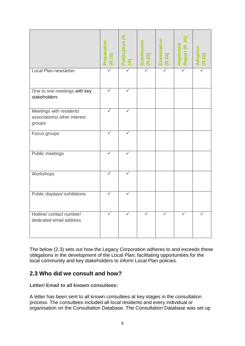|                                                                   | Preparation<br>(R.18) | <b>Publication (R.</b><br>$\overline{19}$ | Submission<br>(R.22) | Examination<br>(R.24) | Report (R. 25)<br>Inspectors | Adoption<br>(R.26) |
|-------------------------------------------------------------------|-----------------------|-------------------------------------------|----------------------|-----------------------|------------------------------|--------------------|
| Local Plan newsletter                                             | ✓                     |                                           |                      |                       |                              |                    |
| One to one meetings with key<br>stakeholders                      |                       |                                           |                      |                       |                              |                    |
| Meetings with residents<br>associations/ other interest<br>groups |                       |                                           |                      |                       |                              |                    |
| Focus groups                                                      |                       |                                           |                      |                       |                              |                    |
| Public meetings                                                   |                       |                                           |                      |                       |                              |                    |
| Workshops                                                         | ✓                     | ✓                                         |                      |                       |                              |                    |
| Public displays/ exhibitions                                      |                       | ✓                                         |                      |                       |                              |                    |
| Hotline/contact number/<br>dedicated email address                | $\checkmark$          | ✓                                         |                      |                       |                              |                    |

The below (2.3) sets out how the Legacy Corporation adheres to and exceeds these obligations in the development of the Local Plan; facilitating opportunities for the local community and key stakeholders to inform Local Plan policies.

## **2.3 Who did we consult and how?**

**Letter/ Email to all known consultees:**

A letter has been sent to all known consultees at key stages in the consultation process. The consultees included all local residents and every individual or organisation on the Consultation Database. The Consultation Database was set up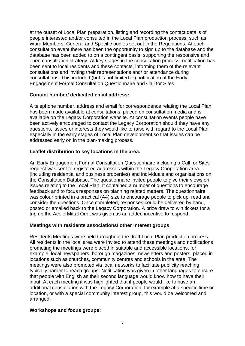at the outset of Local Plan preparation, listing and recording the contact details of people interested and/or consulted in the Local Plan production process, such as Ward Members, General and Specific bodies set out in the Regulations. At each consultation event there has been the opportunity to sign up to the database and the database has been added to on a contingent basis, supporting the responsive and open consultation strategy. At key stages in the consultation process, notification has been sent to local residents and these contacts, informing them of the relevant consultations and inviting their representations and/ or attendance during consultations. This included (but is not limited to) notification of the Early Engagement Formal Consultation Questionnaire and Call for Sites.

#### **Contact number/ dedicated email address:**

A telephone number, address and email for correspondence relating the Local Plan has been made available at consultations, placed on consultation media and is available on the Legacy Corporation website. At consultation events people have been actively encouraged to contact the Legacy Corporation should they have any questions, issues or interests they would like to raise with regard to the Local Plan, especially in the early stages of Local Plan development so that issues can be addressed early on in the plan-making process.

#### **Leaflet distribution to key locations in the area:**

An Early Engagement Formal Consultation Questionnaire including a Call for Sites request was sent to registered addresses within the Legacy Cooperation area (including residential and business properties) and individuals and organisations on the Consultation Database. The questionnaire invited people to give their views on issues relating to the Local Plan. It contained a number of questions to encourage feedback and to focus responses on planning related matters. The questionnaire was colour printed in a practical (A4) size to encourage people to pick up, read and consider the questions. Once completed, responses could be delivered by hand, posted or emailed back to the Legacy Corporation. A prize draw to win tickets for a trip up the AcelorMittal Orbit was given as an added incentive to respond.

### **Meetings with residents associations/ other interest groups**

Residents Meetings were held throughout the draft Local Plan production process. All residents in the local area were invited to attend these meetings and notifications promoting the meetings were placed in suitable and accessible locations, for example, local newspapers, borough magazines, newsletters and posters, placed in locations such as churches, community centres and schools in the area. The meetings were also promoted via local networks to facilitate publicity reaching typically harder to reach groups. Notification was given in other languages to ensure that people with English as their second language would know how to have their input. At each meeting it was highlighted that if people would like to have an additional consultation with the Legacy Corporation, for example at a specific time or location, or with a special community interest group, this would be welcomed and arranged.

### **Workshops and focus groups:**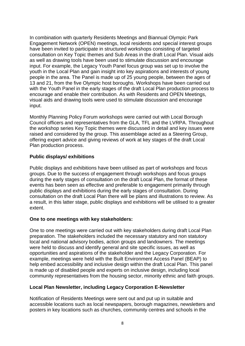In combination with quarterly Residents Meetings and Biannual Olympic Park Engagement Network (OPEN) meetings, local residents and special interest groups have been invited to participate in structured workshops consisting of targeted consultation on Key Topic themes and Sub Areas in the draft Local Plan. Visual aids as well as drawing tools have been used to stimulate discussion and encourage input. For example, the Legacy Youth Panel focus group was set up to involve the youth in the Local Plan and gain insight into key aspirations and interests of young people in the area. The Panel is made up of 25 young people, between the ages of 13 and 21, from the five Olympic host boroughs. Workshops have been carried out with the Youth Panel in the early stages of the draft Local Plan production process to encourage and enable their contribution. As with Residents and OPEN Meetings, visual aids and drawing tools were used to stimulate discussion and encourage input.

Monthly Planning Policy Forum workshops were carried out with Local Borough Council officers and representatives from the GLA, TFL and the LVRPA. Throughout the workshop series Key Topic themes were discussed in detail and key issues were raised and considered by the group. This assemblage acted as a Steering Group, offering expert advice and giving reviews of work at key stages of the draft Local Plan production process.

#### **Public displays/ exhibitions**

Public displays and exhibitions have been utilised as part of workshops and focus groups. Due to the success of engagement through workshops and focus groups during the early stages of consultation on the draft Local Plan, the format of these events has been seen as effective and preferable to engagement primarily through public displays and exhibitions during the early stages of consultation. During consultation on the draft Local Plan there will be plans and illustrations to review. As a result, in this latter stage, public displays and exhibitions will be utilised to a greater extent.

#### **One to one meetings with key stakeholders:**

One to one meetings were carried out with key stakeholders during draft Local Plan preparation. The stakeholders included the necessary statutory and non statutory local and national advisory bodies, action groups and landowners. The meetings were held to discuss and identify general and site specific issues, as well as opportunities and aspirations of the stakeholder and the Legacy Corporation. For example, meetings were held with the Built Environment Access Panel (BEAP) to help embed accessibility and inclusive design within the draft Local Plan. This panel is made up of disabled people and experts on inclusive design, including local community representatives from the housing sector, minority ethnic and faith groups.

#### **Local Plan Newsletter, including Legacy Corporation E-Newsletter**

Notification of Residents Meetings were sent out and put up in suitable and accessible locations such as local newspapers, borough magazines, newsletters and posters in key locations such as churches, community centres and schools in the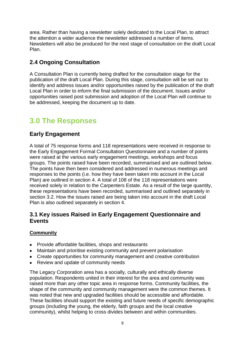area. Rather than having a newsletter solely dedicated to the Local Plan, to attract the attention a wider audience the newsletter addressed a number of items. Newsletters will also be produced for the next stage of consultation on the draft Local Plan.

## **2.4 Ongoing Consultation**

A Consultation Plan is currently being drafted for the consultation stage for the publication of the draft Local Plan. During this stage, consultation will be set out to identify and address issues and/or opportunities raised by the publication of the draft Local Plan in order to inform the final submission of the document. Issues and/or opportunities raised post submission and adoption of the Local Plan will continue to be addressed, keeping the document up to date.

# **3.0 The Responses**

## **Early Engagement**

A total of 75 response forms and 118 representations were received in response to the Early Engagement Formal Consultation Questionnaire and a number of points were raised at the various early engagement meetings, workshops and focus groups. The points raised have been recorded, summarised and are outlined below. The points have then been considered and addressed in numerous meetings and responses to the points (i.e. how they have been taken into account in the Local Plan) are outlined in section 4. A total of 108 of the 118 representations were received solely in relation to the Carpenters Estate. As a result of the large quantity, these representations have been recorded, summarised and outlined separately in section 3.2. How the issues raised are being taken into account in the draft Local Plan is also outlined separately in section 4.

## **3.1 Key issues Raised in Early Engagement Questionnaire and Events**

## **Community**

- Provide affordable facilities, shops and restaurants
- Maintain and prioritise existing community and prevent polarisation
- Create opportunities for community management and creative contribution
- Review and update of community needs

The Legacy Corporation area has a socially, culturally and ethically diverse population. Respondents united in their interest for the area and community was raised more than any other topic area in response forms. Community facilities, the shape of the community and community management were the common themes. It was noted that new and upgraded facilities should be accessible and affordable. These facilities should support the existing and future needs of specific demographic groups (including the young, the elderly, faith groups and the local creative community), whilst helping to cross divides between and within communities.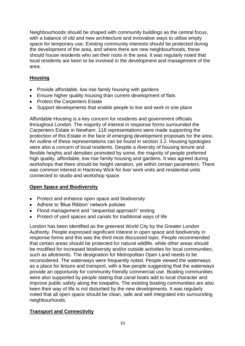Neighbourhoods should be shaped with community buildings as the central focus, with a balance of old and new architecture and innovative ways to utilise empty space for temporary use. Existing community interests should be protected during the development of the area, and where there are new neighbourhoods, these should house residents who set their roots in the area. It was regularly noted that local residents are keen to be involved in the development and management of the area.

## **Housing**

- Provide affordable, low rise family housing with gardens
- Ensure higher quality housing than current development of flats
- Protect the Carpenters Estate
- Support developments that enable people to live and work in one place

Affordable Housing is a key concern for residents and government officials throughout London. The majority of interest in response forms surrounded the Carpenters Estate in Newham. 118 representations were made supporting the protection of this Estate in the face of emerging development proposals for the area. An outline of these representations can be found in section 3.2. Housing typologies were also a concern of local residents. Despite a diversity of housing tenure and flexible heights and densities promoted by some, the majority of people preferred high quality, affordable, low rise family housing and gardens. It was agreed during workshops that there should be height variation, yet within certain parameters. There was common interest in Hackney Wick for live/ work units and residential units connected to studio and workshop space.

## **Open Space and Biodiversity**

- Protect and enhance open space and biodiversity
- Adhere to 'Blue Ribbon' network policies
- Flood management and "sequential approach" testing
- Protect of yard spaces and canals for traditional ways of life

London has been identified as the greenest World City by the Greater London Authority. People expressed significant Interest in open space and biodiversity in response forms and this was the third most discussed topic. People recommended that certain areas should be protected for natural wildlife, while other areas should be modified for increased biodiversity and/or outside activities for local communities, such as allotments. The designation for Metropolitan Open Land needs to be reconsidered. The waterways were frequently noted. People viewed the waterways as a place for leisure and transport, with a few people suggesting that the waterways provide an opportunity for community friendly commercial use. Boating communities were also supported by people stating that canal boats add to local character and improve public safety along the towpaths. The existing boating communities are also keen their way of life is not disturbed by the new developments. It was regularly noted that all open space should be clean, safe and well integrated into surrounding neighbourhoods.

## **Transport and Connectivity**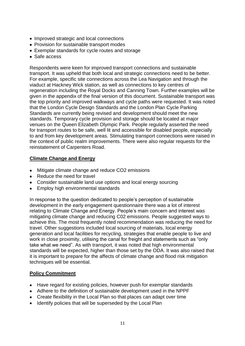- Improved strategic and local connections
- Provision for sustainable transport modes
- Exemplar standards for cycle routes and storage
- Safe access

Respondents were keen for improved transport connections and sustainable transport. It was upheld that both local and strategic connections need to be better. For example, specific site connections across the Lea Navigation and through the viaduct at Hackney Wick station, as well as connections to key centres of regeneration including the Royal Docks and Canning Town. Further examples will be given in the appendix of the final version of this document. Sustainable transport was the top priority and improved walkways and cycle paths were requested. It was noted that the London Cycle Design Standards and the London Plan Cycle Parking Standards are currently being revised and development should meet the new standards. Temporary cycle provision and storage should be located at major venues on the Queen Elizabeth Olympic Park. People regularly asserted the need for transport routes to be safe, well lit and accessible for disabled people, especially to and from key development areas. Stimulating transport connections were raised in the context of public realm improvements. There were also regular requests for the reinstatement of Carpenters Road.

### **Climate Change and Energy**

- Mitigate climate change and reduce CO2 emissions
- Reduce the need for travel
- Consider sustainable land use options and local energy sourcing
- Employ high environmental standards

In response to the question dedicated to people's perception of sustainable development in the early engagement questionnaire there was a lot of interest relating to Climate Change and Energy. People's main concern and interest was mitigating climate change and reducing C02 emissions. People suggested ways to achieve this. The most frequently noted recommendation was reducing the need for travel. Other suggestions included local sourcing of materials, local energy generation and local facilities for recycling, strategies that enable people to live and work in close proximity, utilising the canal for freight and statements such as "only take what we need". As with transport, it was noted that high environmental standards will be expected, higher than those set by the ODA. It was also raised that it is important to prepare for the affects of climate change and flood risk mitigation techniques will be essential.

### **Policy Commitment**

- Have regard for existing policies, however push for exemplar standards
- Adhere to the definition of sustainable development used in the NPPF
- Create flexibility in the Local Plan so that places can adapt over time
- Identify policies that will be superseded by the Local Plan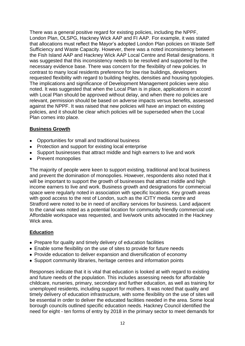There was a general positive regard for existing policies, including the NPPF, London Plan, OLSPG, Hackney Wick AAP and FI AAP. For example, it was stated that allocations must reflect the Mayor's adopted London Plan policies on Waste Self Sufficiency and Waste Capacity. However, there was a noted inconsistency between the Fish Island AAP and Hackney Wick AAP Local Centre and Retail designations. It was suggested that this inconsistency needs to be resolved and supported by the necessary evidence base. There was concern for the flexibility of new policies. In contrast to many local residents preference for low rise buildings, developers requested flexibility with regard to building heights, densities and housing typologies. The implications and significance of Development Management policies were also noted. It was suggested that when the Local Plan is in place, applications in accord with Local Plan should be approved without delay, and when there no policies are relevant, permission should be based on adverse impacts versus benefits, assessed against the NPPF. It was raised that new policies will have an impact on existing policies, and it should be clear which policies will be superseded when the Local Plan comes into place.

### **Business Growth**

- Opportunities for small and traditional business
- Protection and support for existing local enterprise
- Support businesses that attract middle and high earners to live and work
- Prevent monopolies

The majority of people were keen to support existing, traditional and local business and prevent the domination of monopolies. However, respondents also noted that it will be important to support the growth of businesses that attract middle and high income earners to live and work. Business growth and designations for commercial space were regularly noted in association with specific locations. Key growth areas with good access to the rest of London, such as the iCITY media centre and Stratford were noted to be in need of ancillary services for business. Land adjacent to the canal was noted as a potential location for community friendly commercial use. Affordable workspace was requested, and live/work units advocated in the Hackney Wick area.

### **Education**

- Prepare for quality and timely delivery of education facilities
- Enable some flexibility on the use of sites to provide for future needs
- Provide education to deliver expansion and diversification of economy
- Support community libraries, heritage centres and information points

Responses indicate that it is vital that education is looked at with regard to existing and future needs of the population. This includes assessing needs for affordable childcare, nurseries, primary, secondary and further education, as well as training for unemployed residents, including support for mothers. It was noted that quality and timely delivery of education infrastructure, with some flexibility on the use of sites will be essential in order to deliver the educated facilities needed in the area. Some local borough councils outlined specific education needs. Hackney Council identified the need for eight - ten forms of entry by 2018 in the primary sector to meet demands for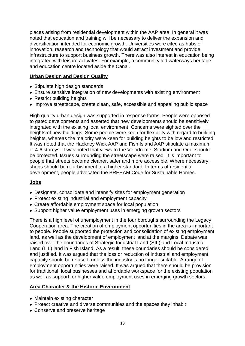places arising from residential development within the AAP area. In general it was noted that education and training will be necessary to deliver the expansion and diversification intended for economic growth. Universities were cited as hubs of innovation, research and technology that would attract investment and provide infrastructure to support business growth. There was also interest in education being integrated with leisure activates. For example, a community led waterways heritage and education centre located aside the Canal.

#### **Urban Design and Design Quality**

- Stipulate high design standards
- Ensure sensitive integration of new developments with existing environment
- Restrict building heights
- Improve streetscape, create clean, safe, accessible and appealing public space

High quality urban design was supported in response forms. People were opposed to gated developments and asserted that new developments should be sensitively integrated with the existing local environment. Concerns were sighted over the heights of new buildings. Some people were keen for flexibility with regard to building heights, whereas the majority were keen for building heights to be low and restricted. It was noted that the Hackney Wick AAP and Fish Island AAP stipulate a maximum of 4-6 storeys. It was noted that views to the Velodrome, Stadium and Orbit should be protected. Issues surrounding the streetscape were raised. It is important to people that streets become cleaner, safer and more accessible. Where necessary, shops should be refurbishment to a higher standard. In terms of residential development, people advocated the BREEAM Code for Sustainable Homes.

### **Jobs**

- Designate, consolidate and intensify sites for employment generation
- Protect existing industrial and employment capacity
- Create affordable employment space for local population
- Support higher value employment uses in emerging growth sectors

There is a high level of unemployment in the four boroughs surrounding the Legacy Cooperation area. The creation of employment opportunities in the area is important to people. People supported the protection and consolidation of existing employment land, as well as the development of employment land at the margins. Debate was raised over the boundaries of Strategic Industrial Land (SIL) and Local Industrial Land (LIL) land in Fish Island. As a result, these boundaries should be considered and justified. It was argued that the loss or reduction of industrial and employment capacity should be refused, unless the industry is no longer suitable. A range of employment opportunities were raised. It was argued that there should be provision for traditional, local businesses and affordable workspace for the existing population as well as support for higher value employment uses in emerging growth sectors.

### **Area Character & the Historic Environment**

- Maintain existing character
- Protect creative and diverse communities and the spaces they inhabit
- Conserve and preserve heritage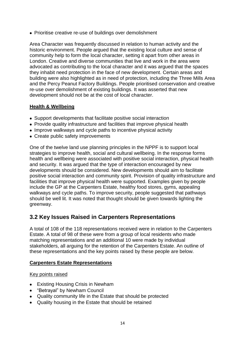• Prioritise creative re-use of buildings over demolishment

Area Character was frequently discussed in relation to human activity and the historic environment. People argued that the existing local culture and sense of community help to form the local character, setting it apart from other areas in London. Creative and diverse communities that live and work in the area were advocated as contributing to the local character and it was argued that the spaces they inhabit need protection in the face of new development. Certain areas and building were also highlighted as in need of protection, including the Three Mills Area and the Percy Peanut Factory Buildings. People prioritised conservation and creative re-use over demolishment of existing buildings. It was asserted that new development should not be at the cost of local character.

### **Health & Wellbeing**

- Support developments that facilitate positive social interaction
- Provide quality infrastructure and facilities that improve physical health
- Improve walkways and cycle paths to incentive physical activity
- Create public safety improvements

One of the twelve land use planning principles in the NPPF is to support local strategies to improve health, social and cultural wellbeing. In the response forms health and wellbeing were associated with positive social interaction, physical health and security. It was argued that the type of interaction encouraged by new developments should be considered. New developments should aim to facilitate positive social interaction and community spirit. Provision of quality infrastructure and facilities that improve physical health were supported. Examples given by people include the GP at the Carpenters Estate, healthy food stores, gyms, appealing walkways and cycle paths. To improve security, people suggested that pathways should be well lit. It was noted that thought should be given towards lighting the greenway.

## **3.2 Key Issues Raised in Carpenters Representations**

A total of 108 of the 118 representations received were in relation to the Carpenters Estate. A total of 98 of these were from a group of local residents who made matching representations and an additional 10 were made by individual stakeholders, all arguing for the retention of the Carpenters Estate. An outline of these representations and the key points raised by these people are below.

### **Carpenters Estate Representations**

### Key points raised

- Existing Housing Crisis in Newham
- "Betrayal" by Newham Council
- Quality community life in the Estate that should be protected
- Quality housing in the Estate that should be retained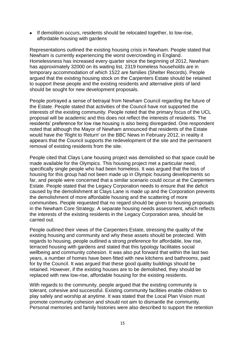• If demolition occurs, residents should be relocated together, to low-rise, affordable housing with gardens

Representations outlined the existing housing crisis in Newham. People stated that Newham is currently experiencing the worst overcrowding in England. Homelessness has increased every quarter since the beginning of 2012, Newham has approximately 32000 on its waiting list, 2319 homeless households are in temporary accommodation of which 1522 are families (Shelter Records). People argued that the existing housing stock on the Carpenters Estate should be retained to support these people and the existing residents and alternative plots of land should be sought for new development proposals.

People portrayed a sense of betrayal from Newham Council regarding the future of the Estate. People stated that activities of the Council have not supported the interests of the existing community. People noted that the primary focus of the UCL proposal will be academic and this does not reflect the interests of residents. The residents' preference for low rise housing is also being disregarded. One respondent noted that although the Mayor of Newham announced that residents of the Estate would have the 'Right to Return' on the BBC News in February 2012, in reality it appears that the Council supports the redevelopment of the site and the permanent removal of existing residents from the site.

People cited that Clays Lane housing project was demolished so that space could be made available for the Olympics. This housing project met a particular need, specifically single people who had been homeless. It was argued that the loss of housing for this group had not been made up in Olympic housing developments so far, and people were concerned that a similar scenario could occur at the Carpenters Estate. People stated that the Legacy Corporation needs to ensure that the deficit caused by the demolishment at Clays Lane is made up and the Corporation prevents the demolishment of more affordable housing and the scattering of more communities. People requested that no regard should be given to housing proposals in the Newham Core Strategy. A separate housing needs assessment, which reflects the interests of the existing residents in the Legacy Corporation area, should be carried out.

People outlined their views of the Carpenters Estate, stressing the quality of the existing housing and community and why these assets should be protected. With regards to housing, people outlined a strong preference for affordable, low rise, terraced housing with gardens and stated that this typology facilitates social wellbeing and community cohesion. It was also put forward that within the last two years, a number of homes have been fitted with new kitchens and bathrooms, paid for by the Council. It was argued that these good quality buildings should be retained. However, if the existing houses are to be demolished, they should be replaced with new low-rise, affordable housing for the existing residents.

With regards to the community, people argued that the existing community is tolerant, cohesive and successful. Existing community facilities enable children to play safely and worship at anytime. It was stated that the Local Plan Vision must promote community cohesion and should not aim to dismantle the community. Personal memories and family histories were also described to support the retention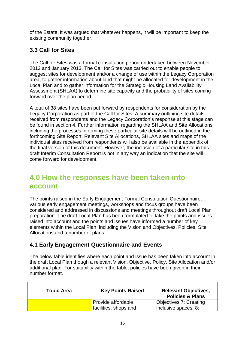of the Estate. It was argued that whatever happens, it will be important to keep the existing community together.

## **3.3 Call for Sites**

The Call for Sites was a formal consultation period undertaken between November 2012 and January 2013. The Call for Sites was carried out to enable people to suggest sites for development and/or a change of use within the Legacy Corporation area, to gather information about land that might be allocated for development in the Local Plan and to gather information for the Strategic Housing Land Availability Assessment (SHLAA) to determine site capacity and the probability of sites coming forward over the plan period.

A total of 38 sites have been put forward by respondents for consideration by the Legacy Corporation as part of the Call for Sites. A summary outlining site details received from respondents and the Legacy Corporation's response at this stage can be found in section 4. Further information regarding the SHLAA and Site Allocations, including the processes informing these particular site details will be outlined in the forthcoming Site Report. Relevant Site Allocations, SHLAA sites and maps of the individual sites received from respondents will also be available in the appendix of the final version of this document. However, the inclusion of a particular site in this draft Interim Consultation Report is not in any way an indication that the site will come forward for development.

## **4.0 How the responses have been taken into account**

The points raised in the Early Engagement Formal Consultation Questionnaire, various early engagement meetings, workshops and focus groups have been considered and addressed in discussions and meetings throughout draft Local Plan preparation. The draft Local Plan has been formulated to take the points and issues raised into account and the points and issues have informed a number of key elements within the Local Plan, including the Vision and Objectives, Policies, Site Allocations and a number of plans.

## **4.1 Early Engagement Questionnaire and Events**

The below table identifies where each point and issue has been taken into account in the draft Local Plan though a relevant Vision, Objective, Policy, Site Allocation and/or additional plan. For suitability within the table, policies have been given in their number format.

| <b>Topic Area</b> | <b>Key Points Raised</b>                    | <b>Relevant Objectives,</b><br><b>Policies &amp; Plans</b> |
|-------------------|---------------------------------------------|------------------------------------------------------------|
|                   | Provide affordable<br>facilities, shops and | Objectives 7: Creating<br>inclusive spaces, 8:             |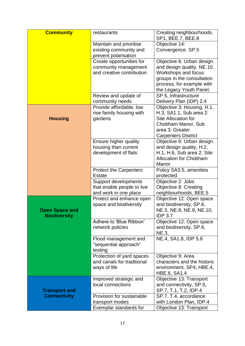| <b>Community</b>      | restaurants                                        | Creating neighbourhoods.                                |
|-----------------------|----------------------------------------------------|---------------------------------------------------------|
|                       |                                                    | SP1, BEE.7, BEE.8                                       |
|                       | Maintain and prioritise                            | Objective 14:                                           |
|                       | existing community and                             | Convergence. SP.5                                       |
|                       | prevent polarisation                               |                                                         |
|                       | Create opportunities for                           | Objective 6: Urban design                               |
|                       | community management<br>and creative contribution  | and design quality. NE.10.                              |
|                       |                                                    | Workshops and focus                                     |
|                       |                                                    | groups in the consultation<br>process, for example with |
|                       |                                                    | the Legacy Youth Panel.                                 |
|                       | Review and update of                               | SP.5, Infrastructure                                    |
|                       | community needs                                    | Delivery Plan (IDP) 2.4                                 |
|                       | Provide affordable, low                            | Objective 3: Housing, H.1,                              |
|                       | rise family housing with                           | H.3, SA1.1, Sub area 2:                                 |
| <b>Housing</b>        | gardens                                            | Site Allocation for                                     |
|                       |                                                    | Chobham Manor, Sub                                      |
|                       |                                                    | area 3: Greater                                         |
|                       |                                                    | <b>Carpenters District</b>                              |
|                       | Ensure higher quality                              | Objective 6: Urban design                               |
|                       | housing than current                               | and design quality, H.2,                                |
|                       | development of flats                               | H.1, H.6, Sub area 2: Site                              |
|                       |                                                    | <b>Allocation for Chobham</b>                           |
|                       |                                                    | Manor                                                   |
|                       | <b>Protect the Carpenters</b>                      | Policy SA3.5, amenities                                 |
|                       | <b>Estate</b>                                      | protected.                                              |
|                       | Support developments                               | Objective 2: Jobs                                       |
|                       | that enable people to live                         | Objective 8: Creating                                   |
|                       | and work in one place                              | neighbourhoods, BEE.5<br>Objective 12: Open space       |
|                       | Protect and enhance open<br>space and biodiversity | and biodiversity, SP.6,                                 |
| <b>Open Space and</b> |                                                    | NE.5, NE.8, NE.9, NE.10,                                |
| <b>Biodiversity</b>   |                                                    | <b>IDP 3.7</b>                                          |
|                       | Adhere to 'Blue Ribbon'                            | Objective 12: Open space                                |
|                       | network policies                                   | and biodiversity, SP.6,                                 |
|                       |                                                    | NE.3,                                                   |
|                       | Flood management and                               | NE.4, SA1.8, IDP 5.6                                    |
|                       | "sequential approach"                              |                                                         |
|                       | testing                                            |                                                         |
|                       | Protection of yard spaces                          | Objective 9: Area                                       |
|                       | and canals for traditional                         | characters and the historic                             |
|                       | ways of life                                       | environment. SP4, HBE.4,<br><b>HBE.6, SA1.4</b>         |
|                       | Improved strategic and                             | Objective 13: Transport                                 |
|                       | local connections                                  | and connectivity, SP.5,                                 |
| <b>Transport and</b>  |                                                    | SP.7, T.1, T.2, IDP.4                                   |
| <b>Connectivity</b>   | Provision for sustainable                          | SP.7, T.4, accordance                                   |
|                       | transport modes                                    | with London Plan, IDP.4                                 |
|                       | Exemplar standards for                             | Objective 13: Transport                                 |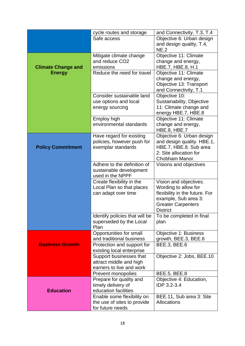|                           | cycle routes and storage                                  | and Connectivity. T.3, T.4                 |
|---------------------------|-----------------------------------------------------------|--------------------------------------------|
|                           | Safe access                                               | Objective 6: Urban design                  |
|                           |                                                           | and design quality, T.4,<br>NE.2           |
|                           | Mitigate climate change                                   | Objective 11: Climate                      |
|                           | and reduce CO <sub>2</sub>                                | change and energy,                         |
| <b>Climate Change and</b> | emissions                                                 | HBE.7, HBE.8, H.1                          |
| <b>Energy</b>             | Reduce the need for travel                                | Objective 11: Climate                      |
|                           |                                                           | change and energy,                         |
|                           |                                                           | Objective 13: Transport                    |
|                           | Consider sustainable land                                 | and Connectivity, T.1                      |
|                           | use options and local                                     | Objective 10:<br>Sustainability, Objective |
|                           | energy sourcing                                           | 11: Climate change and                     |
|                           |                                                           | energy HBE.7, HBE.8                        |
|                           | Employ high                                               | Objective 11: Climate                      |
|                           | environmental standards                                   | change and energy,                         |
|                           |                                                           | <b>HBE.8, HBE.7</b>                        |
|                           | Have regard for existing                                  | Objective 6: Urban design                  |
|                           | policies, however push for                                | and design quality. HBE.1,                 |
| <b>Policy Commitment</b>  | exemplar standards                                        | HBE.7, HBE.8. Sub area                     |
|                           |                                                           | 2: Site allocation for                     |
|                           | Adhere to the definition of                               | Chobham Manor.<br>Visions and objectives   |
|                           | sustainable development                                   |                                            |
|                           | used in the NPPF                                          |                                            |
|                           | Create flexibility in the                                 | Vision and objectives.                     |
|                           | Local Plan so that places                                 | Wording to allow for                       |
|                           | can adapt over time                                       | flexibility in the future. For             |
|                           |                                                           | example, Sub area 3:                       |
|                           |                                                           | <b>Greater Carpenters</b>                  |
|                           |                                                           | <b>District</b>                            |
|                           | Identify policies that will be<br>superseded by the Local | To be completed in final<br>plan           |
|                           | Plan                                                      |                                            |
|                           | Opportunities for small                                   | <b>Objective 1: Business</b>               |
| <b>Business Growth</b>    | and traditional business                                  | growth, BEE.3, BEE.6                       |
|                           | Protection and support for<br>existing local enterprise   | <b>BEE.3, BEE.6</b>                        |
|                           | Support businesses that                                   | Objective 2: Jobs, BEE.10                  |
|                           | attract middle and high                                   |                                            |
|                           | earners to live and work                                  |                                            |
|                           | Prevent monopolies                                        | <b>BEE.5, BEE.8</b>                        |
|                           | Prepare for quality and                                   | Objective 4: Education,                    |
|                           | timely delivery of                                        | IDP 3.2-3.4                                |
| <b>Education</b>          | education facilities                                      |                                            |
|                           | Enable some flexibility on                                | BEE.11, Sub area 3: Site                   |
|                           | the use of sites to provide                               | <b>Allocations</b>                         |
|                           | for future needs                                          |                                            |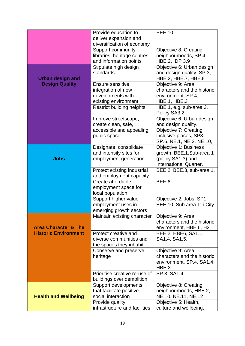|                                 | Provide education to                              | <b>BEE.10</b>                 |
|---------------------------------|---------------------------------------------------|-------------------------------|
|                                 | deliver expansion and                             |                               |
|                                 | diversification of economy                        |                               |
|                                 | Support community                                 | <b>Objective 8: Creating</b>  |
|                                 | libraries, heritage centres                       | neighbourhoods, SP.4,         |
|                                 | and information points                            | HBE.2, IDP 3.9                |
|                                 | Stipulate high design                             | Objective 6: Urban design     |
|                                 | standards                                         | and design quality, SP.3,     |
| <b>Urban design and</b>         |                                                   | HBE.2, HBE.7, HBE.8           |
| <b>Design Quality</b>           | Ensure sensitive                                  | Objective 9: Area             |
|                                 | integration of new                                | characters and the historic   |
|                                 | developments with                                 | environment. SP.4,            |
|                                 | existing environment                              | HBE.1, HBE.3                  |
|                                 | <b>Restrict building heights</b>                  | HBE.1, e.g. sub-area 3,       |
|                                 |                                                   | Policy SA3.2                  |
|                                 | Improve streetscape,                              | Objective 6: Urban design     |
|                                 | create clean, safe,                               | and design quality.           |
|                                 | accessible and appealing                          | <b>Objective 7: Creating</b>  |
|                                 | public space                                      | inclusive places, SP3,        |
|                                 |                                                   | SP.6, NE.1, NE.2, NE.10,      |
|                                 | Designate, consolidate                            | <b>Objective 1: Business</b>  |
|                                 | and intensify sites for                           | growth, BEE.1.Sub-area 1      |
| <b>Jobs</b>                     | employment generation                             | (policy SA1.3) and            |
|                                 |                                                   | <b>International Quarter.</b> |
|                                 | Protect existing industrial                       | BEE.2, BEE.3, sub-area 1.     |
|                                 | and employment capacity                           |                               |
|                                 | Create affordable                                 | BEE.6                         |
|                                 | employment space for                              |                               |
|                                 | local population                                  |                               |
|                                 | Support higher value                              | Objective 2: Jobs. SP1,       |
|                                 | employment uses in                                | BEE.10, Sub area 1: i-City    |
|                                 | emerging growth sectors                           |                               |
|                                 | Maintain existing character                       | Objective 9: Area             |
|                                 |                                                   | characters and the historic   |
| <b>Area Character &amp; The</b> |                                                   | environment, HBE.6, H2        |
| <b>Historic Environment</b>     | Protect creative and                              | BEE.2, HBE6, SA1.1,           |
|                                 | diverse communities and                           | SA1.4, SA1.5,                 |
|                                 | the spaces they inhabit                           |                               |
|                                 | Conserve and preserve                             | Objective 9: Area             |
|                                 | heritage                                          | characters and the historic   |
|                                 |                                                   | environment, SP.4, SA1.4,     |
|                                 |                                                   | HBE.3                         |
|                                 | Prioritise creative re-use of                     | SP.3, SA1.4                   |
|                                 | buildings over demolition<br>Support developments | <b>Objective 8: Creating</b>  |
|                                 | that facilitate positive                          | neighbourhoods, HBE.2,        |
| <b>Health and Wellbeing</b>     | social interaction                                | NE.10, NE.11, NE.12           |
|                                 |                                                   |                               |
|                                 | Provide quality                                   | Objective 5: Health,          |
|                                 | infrastructure and facilities                     | culture and wellbeing.        |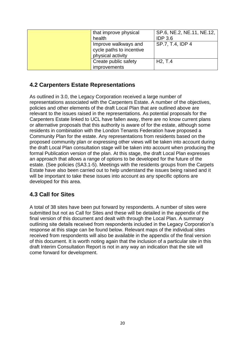| that improve physical    | SP.6, NE.2, NE.11, NE.12, |
|--------------------------|---------------------------|
| health                   | <b>IDP 3.6</b>            |
| Improve walkways and     | SP.7, T.4, IDP 4          |
| cycle paths to incentive |                           |
| physical activity        |                           |
| Create public safety     | H2, T.4                   |
| improvements             |                           |

## **4.2 Carpenters Estate Representations**

As outlined in 3.0, the Legacy Corporation received a large number of representations associated with the Carpenters Estate. A number of the objectives, policies and other elements of the draft Local Plan that are outlined above are relevant to the issues raised in the representations. As potential proposals for the Carpenters Estate linked to UCL have fallen away, there are no know current plans or alternative proposals that this authority is aware of for the estate, although some residents in combination with the London Tenants Federation have proposed a Community Plan for the estate. Any representations from residents based on the proposed community plan or expressing other views will be taken into account during the draft Local Plan consultation stage will be taken into account when producing the formal Publication version of the plan. At this stage, the draft Local Plan expresses an approach that allows a range of options to be developed for the future of the estate. (See policies (SA3.1-5). Meetings with the residents groups from the Carpets Estate have also been carried out to help understand the issues being raised and it will be important to take these issues into account as any specific options are developed for this area.

## **4.3 Call for Sites**

A total of 38 sites have been put forward by respondents. A number of sites were submitted but not as Call for Sites and these will be detailed in the appendix of the final version of this document and dealt with through the Local Plan. A summary outlining site details received from respondents included in the Legacy Corporation's response at this stage can be found below. Relevant maps of the individual sites received from respondents will also be available in the appendix of the final version of this document. It is worth noting again that the inclusion of a particular site in this draft Interim Consultation Report is not in any way an indication that the site will come forward for development.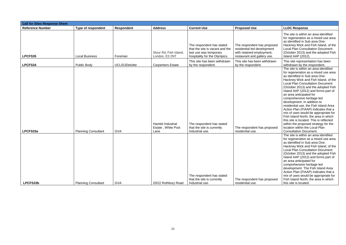| <b>Call for Sites Response Sheet</b> |                            |                       |                                                 |                                                                                                                         |                                                                                                                        |                                                                                                                                                                                                                                                                                                                                                                                                                                                                                                                                                                                                                                                                                                 |
|--------------------------------------|----------------------------|-----------------------|-------------------------------------------------|-------------------------------------------------------------------------------------------------------------------------|------------------------------------------------------------------------------------------------------------------------|-------------------------------------------------------------------------------------------------------------------------------------------------------------------------------------------------------------------------------------------------------------------------------------------------------------------------------------------------------------------------------------------------------------------------------------------------------------------------------------------------------------------------------------------------------------------------------------------------------------------------------------------------------------------------------------------------|
| <b>Reference Number</b>              | <b>Type of respondent</b>  | <b>Respondent</b>     | <b>Address</b>                                  | <b>Current Use</b>                                                                                                      | <b>Proposed Use</b>                                                                                                    | <b>LLDC Response</b>                                                                                                                                                                                                                                                                                                                                                                                                                                                                                                                                                                                                                                                                            |
| LPCFS35                              | <b>Local Business</b>      | Foreman               | Stour Rd, Fish Island,<br>London, E3 2NT        | The respondent has stated<br>that the site is vacant and the<br>last use was temporary<br>hospitality for the Olympics. | The respondent has proposed<br>residential led development<br>with retained employment,<br>restaurant and gallery use. | The site is within an area identified<br>for regeneration as a mixed use area<br>as identified in Sub area One:<br>Hackney Wick and Fish Island, of the<br><b>Local Plan Consultation Document</b><br>(October 2013) and the adopted Fish<br>Island AAP (2012).                                                                                                                                                                                                                                                                                                                                                                                                                                 |
| LPCFS34                              | <b>Public Body</b>         | <b>UCL/DJDeloitte</b> | <b>Carpenters Estate</b>                        | This site has been withdrawn<br>by the respondent.                                                                      | This site has been withdrawn<br>by the respondent.                                                                     | This site representation has been<br>withdrawn by the respondent.                                                                                                                                                                                                                                                                                                                                                                                                                                                                                                                                                                                                                               |
| LPCFS33a                             | <b>Planning Consultant</b> | <b>GVA</b>            | Hamlet Industrial<br>Estate, White Post<br>Lane | The respondent has stated<br>that the site is currently<br>Industrial use.                                              | The respondent has proposed<br>residential use.                                                                        | The site is within an area identified<br>for regeneration as a mixed use area<br>as identified in Sub area One:<br>Hackney Wick and Fish Island, of the<br><b>Local Plan Consultation Document</b><br>(October 2013) and the adopted Fish<br>Island AAP (2012) and forms part of<br>an area anticipated for<br>comprehensive heritage led<br>development. In addition to<br>residential use, the Fish Island Area<br>Action Plan (FIAAP) indicates that a<br>mix of uses would be appropriate for<br>Fish Island North, the area in which<br>this site is located. This is reflected<br>within the proposed strategy for the<br>location within the Local Plan<br><b>Consultation Document.</b> |
| LPCFS33b                             | <b>Planning Consultant</b> | <b>GVA</b>            | 20/22 Rothbury Road                             | The respondent has stated<br>that the site is currently<br>Industrial use.                                              | The respondent has proposed<br>residential use.                                                                        | The site is within an area identified<br>for regeneration as a mixed use area<br>as identified in Sub area One:<br>Hackney Wick and Fish Island, of the<br><b>Local Plan Consultation Document</b><br>(October 2013) and the adopted Fish<br>Island AAP (2012) and forms part of<br>an area anticipated for<br>comprehensive heritage led<br>development. The Fish Island Area<br>Action Plan (FIAAP) indicates that a<br>mix of uses would be appropriate for<br>Fish Island North, the area in which<br>this site is located.                                                                                                                                                                 |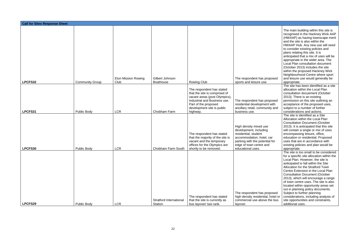| <b>Call for Sites Response Sheet</b> |                                          |                            |                                           |                                                                                                                                                                                                         |                                                                                                                                                                                                          |                                                                                                                                                                                                                                                                                                                                                                                                                                                                                                                                                                                                    |
|--------------------------------------|------------------------------------------|----------------------------|-------------------------------------------|---------------------------------------------------------------------------------------------------------------------------------------------------------------------------------------------------------|----------------------------------------------------------------------------------------------------------------------------------------------------------------------------------------------------------|----------------------------------------------------------------------------------------------------------------------------------------------------------------------------------------------------------------------------------------------------------------------------------------------------------------------------------------------------------------------------------------------------------------------------------------------------------------------------------------------------------------------------------------------------------------------------------------------------|
|                                      |                                          | <b>Eton Mission Rowing</b> | Gilbert Johnson                           |                                                                                                                                                                                                         | The respondent has proposed                                                                                                                                                                              | The main building within this site is<br>recognised in the Hackney Wick AAP<br>(HWAAP) as having townscape merit<br>and the site is also within the<br>HWAAP Hub. Any new use will need<br>to consider existing policies and<br>plans relating this site. It is<br>anticipated that a mix of uses will be<br>appropriate in the wider area. The<br>Local Plan consultation document<br>(October 2013) includes the site<br>within the proposed Hackney Wick<br>Neighbourhood Centre where sport<br>and leisure use would generally be                                                              |
| LPCFS32                              | <b>Community Group</b>                   | Club                       | <b>Boathouse</b>                          | <b>Rowing Club</b><br>The respondent has stated<br>that the site is comprised of<br>vacant areas (post Olympics),<br>Industrial and Business use.<br>Part of the proposed<br>development site is public | sports and leisure use.<br>The respondent has proposed<br>residential development with<br>ancillary retail, community and                                                                                | appropriate.<br>The site has been identified as a site<br>allocation within the Local Plan<br>consultation docuement (October<br>2013). There is an existing<br>permission on this site outlining an<br>acceptance of the proposed uses,<br>subject to a number of further                                                                                                                                                                                                                                                                                                                         |
| LPCFS31<br>LPCFS30                   | <b>Public Body</b><br><b>Public Body</b> | <b>LCR</b><br><b>LCR</b>   | Chobham Farm<br>Chobham Farm South        | highway.<br>The respondent has stated<br>that the majority of the site is<br>vacant and the temporary<br>offices for the Olympics are<br>shortly to be removed.                                         | business use.<br>High density mixed use<br>development, including<br>residential, student<br>accommodation, hotel, car<br>parking with the potential for<br>edge of town centre and<br>educational uses. | considerations and actions.<br>The site is identified as a Site<br>Allocation within the Local Plan<br><b>Consultation Document (October</b><br>2013). It is anticipated that this site<br>will contain a single or mix of uses<br>encompassing leisure, office,<br>education or residential. Proposed<br>uses that are in accordance with<br>existing policies and plan would be                                                                                                                                                                                                                  |
| LPCFS29                              | <b>Public Body</b>                       | <b>LCR</b>                 | Stratford International<br><b>Station</b> | The respondent has stated<br>that the site is currently as<br>bus layover/ taxi rank.                                                                                                                   | The respondent has proposed<br>high density residential, hotel or<br>commercial use above the bus<br>layover.                                                                                            | appropriate.<br>The site is too small to be considered<br>for a specific site allocation within the<br>Local Plan. However, the site is<br>anticipated to fall within the Site<br>Allocation for the Stratford Town<br>Centre Extension in the Local Plan<br><b>Consultation Document (October</b><br>2013), which will encourage a range<br>of town centre uses. The site is also<br>located within opportunity areas set<br>out in planning policy documents.<br>Subject to further planning<br>considerations, including analysis of<br>site opportunities and constraints,<br>additional uses. |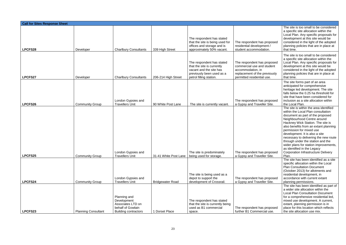| <b>Call for Sites Response Sheet</b> |                                                  |                                                                                                      |                                                  |                                                                                                                                            |                                                                                                                                               |                                                                                                                                                                                                                                                                                                                                                                                                                                                                                                 |
|--------------------------------------|--------------------------------------------------|------------------------------------------------------------------------------------------------------|--------------------------------------------------|--------------------------------------------------------------------------------------------------------------------------------------------|-----------------------------------------------------------------------------------------------------------------------------------------------|-------------------------------------------------------------------------------------------------------------------------------------------------------------------------------------------------------------------------------------------------------------------------------------------------------------------------------------------------------------------------------------------------------------------------------------------------------------------------------------------------|
| LPCFS28                              | Developer                                        | <b>Charlbury Consultants</b>                                                                         | 339 High Street                                  | The respondent has stated<br>that the site is being used for<br>offices and storage and is<br>approximately 50% vacant.                    | The respondent has proposed<br>residential development /<br>student accommodation.                                                            | The site is too small to be considered<br>a specific site allocation within the<br>Local Plan. Any specific proposals for<br>development at this site would be<br>considered in the light of the adopted<br>planning policies that are in place at<br>that time.                                                                                                                                                                                                                                |
| <b>LPCFS27</b>                       | Developer                                        | <b>Charlbury Consultants</b>                                                                         | 206-214 High Street                              | The respondent has stated<br>that the site is currently<br>vacant and the site has<br>previously been used as a<br>petrol filling station. | The respondent has proposed<br>commercial use and student<br>accommodation, in<br>replacement of the previously<br>permitted residential use. | The site is too small to be considered<br>a specific site allocation within the<br>Local Plan. Any specific proposals for<br>development at this site would be<br>considered in the light of the adopted<br>planning policies that are in place at<br>that time.                                                                                                                                                                                                                                |
| LPCFS26                              | <b>Community Group</b>                           | London Gypsies and<br><b>Travellers Unit</b>                                                         | 90 White Post Lane                               | The site is currently vacant.                                                                                                              | The respondent has proposed<br>a Gypsy and Traveller Site.                                                                                    | The site forms part of an area<br>anticipated for comprehensive<br>heritage led development. The site<br>falls below the 0.25 ha threshold for<br>site that have been considered for<br>inclusion as a site allocation within<br>the Local Plan.                                                                                                                                                                                                                                                |
|                                      |                                                  | London Gypsies and                                                                                   |                                                  | The site is predominately                                                                                                                  | The respondent has proposed                                                                                                                   | The site is within the area identified<br>within the Local Plan consultation<br>document as part of the proposed<br>Neighbourhood Centre around<br>Hackney Wick Station. The site is<br>also benefits from an extant planning<br>permission for mixed use<br>development. It is also a site<br>necessary to delivering the new route<br>through under the station and the<br>wider plans for station improvements,<br>as identified in the Legacy<br><b>Corporation Infrastructure Delivery</b> |
| LPCFS25<br>LPCFS24                   | <b>Community Group</b><br><b>Community Group</b> | <b>Travellers Unit</b><br>London Gypsies and<br><b>Travellers Unit</b>                               | 31-41 White Post Lane<br><b>Bridgewater Road</b> | being used for storage.<br>The site is being used as a<br>depot to support the<br>development of Crossrail.                                | a Gypsy and Traveller Site.<br>The respondent has proposed<br>a Gypsy and Traveller Site.                                                     | Plan.<br>The site has been identified as a site<br>specific allocation within the Local<br><b>Plan Consultation Document</b><br>(October 2013) for allotments and<br>residential development, in<br>accordance with current extant<br>planning permissions.                                                                                                                                                                                                                                     |
| LPCFS23                              | <b>Planning Consultant</b>                       | Planning and<br>Development<br>Associates LTD on<br>behalf of Gowlain<br><b>Building contractors</b> | 1 Dorset Place                                   | The respondent has stated<br>that the site is currently being<br>used as B1 commercial<br>space.                                           | The respondent has proposed<br>further B1 Commercial use.                                                                                     | The site has been identified as part of<br>a wider site allocation within the<br><b>Local Plan Consultation Document</b><br>for a comprehensive residential led,<br>mixed use development. A current,<br>extant, planning permission is in<br>place for this location which reflects<br>the site allocation use mix.                                                                                                                                                                            |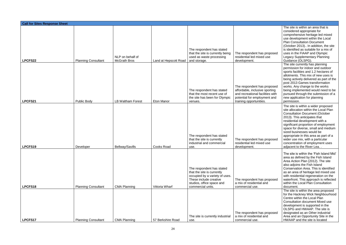| <b>Call for Sites Response Sheet</b> |                                                  |                                                 |                                            |                                                                                                                                                                       |                                                                                                                                                                              |                                                                                                                                                                                                                                                                                                                                                                                                                                                   |
|--------------------------------------|--------------------------------------------------|-------------------------------------------------|--------------------------------------------|-----------------------------------------------------------------------------------------------------------------------------------------------------------------------|------------------------------------------------------------------------------------------------------------------------------------------------------------------------------|---------------------------------------------------------------------------------------------------------------------------------------------------------------------------------------------------------------------------------------------------------------------------------------------------------------------------------------------------------------------------------------------------------------------------------------------------|
|                                      |                                                  | NLP on behalf of                                |                                            | The respondent has stated<br>that the site is currently being<br>used as waste processing                                                                             | The respondent has proposed<br>residential led mixed use                                                                                                                     | The site is within an area that is<br>considered appropriate for<br>comprehensive heritage led mixed<br>use development within the Local<br><b>Plan Consultation Document</b><br>(October 2013) In addition, the site<br>is identified as suitable for a mix of<br>uses in the FIAAP and Olympic<br><b>Legacy Supplementary Planning</b>                                                                                                          |
| LPCFS22<br>LPCFS21                   | <b>Planning Consultant</b><br><b>Public Body</b> | <b>McGrath Bros</b><br><b>LB Waltham Forest</b> | Land at Hepscott Road<br><b>Eton Manor</b> | and storage.<br>The respondent has stated<br>that the most recent use of<br>the site has been for Olympic<br>venues.                                                  | development.<br>The respondent has proposed<br>affordable, inclusive sporting<br>and recreational facilities with<br>potential for employment and<br>training opportunities. | Guidance (OLSPG).<br>The site currently has planning<br>permission for indoor and outdoor<br>sports facilities and 1.2 hectares of<br>allotments. This mix of new uses is<br>being actively delivered as part of the<br>post 2013 Games transformation<br>works. Any change to the works<br>being implemented would need to be<br>pursued through the submission of a<br>new application for planning<br>permission.                              |
| LPCFS19                              | Developer                                        | <b>Bellway/Savills</b>                          | <b>Cooks Road</b>                          | The respondent has stated<br>that the site is currently<br>industrial and commercial<br>use.                                                                          | The respondent has proposed<br>residential led mixed use<br>development.                                                                                                     | The site is within a wider proposed<br>site allocation within the Local Plan<br><b>Consultation Document (October</b><br>2013). This anticipates that<br>residential development with a<br>significant proportion of employment<br>space for diverse, small and medium<br>sized businesses would be<br>appropriate in this area as part of a<br>wider use mix, with a particular<br>concentration of employment uses<br>adjacent to the River Lea |
| LPCFS18                              | <b>Planning Consultant</b>                       | <b>CMA Planning</b>                             | Vittoria Wharf                             | The respondent has stated<br>that the site is currently<br>occupied by a variety of uses.<br>These include creative<br>studios, office space and<br>commercial units. | The respondent has proposed<br>a mix of residential and<br>commercial use.                                                                                                   | The site is within the 'Fish Island Mid'<br>area as defined by the Fish Island<br>Area Action Plan (2012). The site<br>also adjoins the Fish Island<br>Conservation Area. This is identified<br>as an area of heritage led mixed use<br>with residential regeneration on the<br>waterfront. This approach is reflected<br>within the Local Plan Consultation<br>document.                                                                         |
| LPCFS17                              | <b>Planning Consultant</b>                       | <b>CMA Planning</b>                             | 57 Berkshire Road                          | The site is currently industrial<br>use.                                                                                                                              | The respondent has proposed<br>a mix of residential and<br>commercial use.                                                                                                   | The site is within the area proposed<br>for the Hackney Wick Neighbourhood<br>Centre within the Local Plan<br><b>Consultation document Mixed use</b><br>development is supported in the<br>OLSPG and HWAAP. The site is<br>designated as an Other industrial<br>Area and an Opportunity Site in the<br>HWAAP and the site is located                                                                                                              |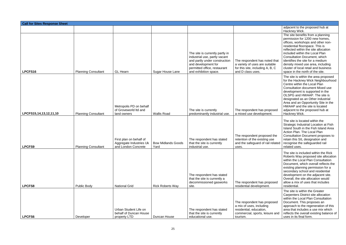| <b>Call for Sites Response Sheet</b> |                            |                                                                           |                                   |                                                                                                                                                                                   |                                                                                                                                   |                                                                                                                                                                                                                                                                                                                                                                                                                  |  |
|--------------------------------------|----------------------------|---------------------------------------------------------------------------|-----------------------------------|-----------------------------------------------------------------------------------------------------------------------------------------------------------------------------------|-----------------------------------------------------------------------------------------------------------------------------------|------------------------------------------------------------------------------------------------------------------------------------------------------------------------------------------------------------------------------------------------------------------------------------------------------------------------------------------------------------------------------------------------------------------|--|
|                                      |                            |                                                                           |                                   |                                                                                                                                                                                   |                                                                                                                                   | adjacent to the proposed hub at<br>Hackney Wick.                                                                                                                                                                                                                                                                                                                                                                 |  |
| LPCFS16                              | <b>Planning Consultant</b> | <b>GL Hearn</b>                                                           | Sugar House Lane                  | The site is currently partly in<br>industrial use, partly vacant<br>and partly under construction<br>and development for<br>permitted office, restaurant<br>and exhibition space. | The respondent has noted that<br>a variety of uses are suitable<br>for this site, including A, B, C<br>and D class uses.          | The site benefits from a planning<br>permission for 1200 new homes,<br>offices, workshops and other non-<br>residential floorspace. This is<br>reflected within the site allocation<br>included within the Local Plan<br><b>Consultation Document, which</b><br>identifies the site for a medium<br>density mixed use area, including<br>cluster of local retail and business<br>space in the north of the site. |  |
| LPCFS15,14,13,12,11,10               | <b>Planning Consultant</b> | Metropolis PD on behalf<br>of Groveworld Itd and<br>land owners           | <b>Wallis Road</b>                | The site is currently<br>predominantly industrial use.                                                                                                                            | The respondent has proposed<br>a mixed use development.                                                                           | The site is within the area proposed<br>for the Hackney Wick Neighbourhood<br>Centre within the Local Plan<br><b>Consultation document Mixed use</b><br>development is supported in the<br>OLSPG and HWAAP. The site is<br>designated as an Other industrial<br>Area and an Opportunity Site in the<br>HWAAP and the site is located<br>adjacent to the proposed hub at<br>Hackney Wick.                         |  |
| <b>LPCFS9</b>                        | <b>Planning Consultant</b> | First plan on behalf of<br>Aggregate Industries Uk<br>and London Concrete | <b>Bow Midlands Goods</b><br>Yard | The respondent has stated<br>that the site is currently<br>industrial use.                                                                                                        | The respondent proposed the<br>retention of the existing use<br>and the safeguard of rail related<br>uses.                        | The site is located within the<br>Strategic Industrial Location at Fish<br>Island South in the Fish Island Area<br>Action Plan. The Local Plan<br><b>Consultation Document proposes to</b><br>retain this SIL designation and<br>recognise the safeguarded rail<br>related uses.                                                                                                                                 |  |
| LPCFS8                               | <b>Public Body</b>         | <b>National Grid</b>                                                      | <b>Rick Roberts Way</b>           | The respondent has stated<br>that the site is currently a<br>decommissioned gasworks<br>site.                                                                                     | The respondent has proposed<br>residential development.                                                                           | The site is included within the Rick<br>Roberts Way proposed site allocation<br>within the Local Plan Consultation<br>Document, which overall reflects the<br>existing planning permission for a<br>secondary school and residential<br>development on the adjacent site.<br>Overall, the site allocation would<br>allow a mix of uses that includes<br>residential.                                             |  |
| LPCFS6                               | Developer                  | Urban Student Life on<br>behalf of Duncan House<br>property LTD           | Duncan House                      | The respondent has stated<br>that the site is currently<br>educational use.                                                                                                       | The respondent has proposed<br>a mix of uses, including<br>residential, education,<br>commercial, sports, leisure and<br>tourism. | The site is within the Greater<br>Carpenters District site allocation<br>within the Local Plan Consultation<br>Document. This proposes an<br>approach to the regeneration of this<br>area that includes a use mix which<br>reflects the overall existing balance of<br>uses in its final form.                                                                                                                   |  |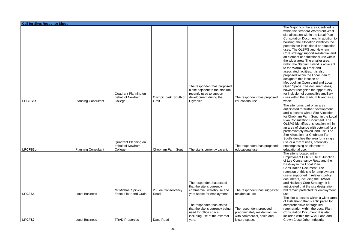| <b>Call for Sites Response Sheet</b> |                            |                                                     |                                 |                                                                                                                                   |                                                                                                            |                                                                                                                                                                                                                                                                                                                                                                                                                                                                                                                                                                                                                                                                                                                                                                                             |  |  |  |  |
|--------------------------------------|----------------------------|-----------------------------------------------------|---------------------------------|-----------------------------------------------------------------------------------------------------------------------------------|------------------------------------------------------------------------------------------------------------|---------------------------------------------------------------------------------------------------------------------------------------------------------------------------------------------------------------------------------------------------------------------------------------------------------------------------------------------------------------------------------------------------------------------------------------------------------------------------------------------------------------------------------------------------------------------------------------------------------------------------------------------------------------------------------------------------------------------------------------------------------------------------------------------|--|--|--|--|
| LPCFS5a                              | <b>Planning Consultant</b> | Quadrant Planning on<br>behalf of Newham<br>College | Olympic park, South of<br>Orbit | The respondent has proposed<br>a site adjacent to the stadium,<br>recently used to support<br>development during the<br>Olympics. | The respondent has proposed<br>educational use.                                                            | The Majority of the area identified is<br>within the Stratford Waterfront West<br>site allocation within the Local Plan<br>Consultation Document. In addition to<br>housing, the allocation identifies the<br>potential for institutional or education<br>uses. The OLSPG and Newham<br>Core strategy support residential and<br>an element of educational use within<br>the wider area. The smaller area<br>within the Stadium Island is adjacent<br>to the Warm Up Track and<br>associated facilities. It is also<br>proposed within the Local Plan to<br>designate this location as<br>Metropolitan Open Land and Local<br>Open Space. The document does,<br>however recognise the opportunity<br>for inclusion of compatible ancillary<br>uses within the Stadium Island as a<br>whole. |  |  |  |  |
|                                      |                            |                                                     |                                 |                                                                                                                                   |                                                                                                            | The site forms part of an area                                                                                                                                                                                                                                                                                                                                                                                                                                                                                                                                                                                                                                                                                                                                                              |  |  |  |  |
| <b>LPCFS5b</b>                       | <b>Planning Consultant</b> | Quadrant Planning on<br>behalf of Newham<br>College | Chobham Farm South              | The site is currently vacant.                                                                                                     | The respondent has proposed<br>educational use.                                                            | anticipated for further development<br>and is located with a Site Allocation<br>for Chobham Farm South in the Local<br><b>Plan Consultation Document. The</b><br>OLSPG identifies this location within<br>an area of change with potential for a<br>predominately mixed land use. The<br>Site Allocation for Chobham Farm<br>South identifies the area for a single<br>use or a mix of uses, potentially<br>encompassing an element of<br>educational use.                                                                                                                                                                                                                                                                                                                                  |  |  |  |  |
|                                      |                            |                                                     |                                 |                                                                                                                                   |                                                                                                            | The site is located within<br>Employment Hub 6, Site at Junction                                                                                                                                                                                                                                                                                                                                                                                                                                                                                                                                                                                                                                                                                                                            |  |  |  |  |
|                                      |                            | Mr Michael Spinks,                                  | 28 Lee Conservancy              | The respondent has stated<br>that the site is currently<br>commercial, warehouse and                                              | The respondent has suggested                                                                               | of Lee Conservancy Road and the<br>Eastway in the Local Plan<br><b>Consultation Document. The</b><br>retention of this site for employment<br>use is supported in relevant policy<br>documents, including the HWAAP<br>and Hackney Core Strategy It is<br>anticipated that the site designation<br>will remain protected for employment                                                                                                                                                                                                                                                                                                                                                                                                                                                     |  |  |  |  |
| <b>LPCFS4</b>                        | <b>Local Business</b>      | <b>Essex Flour and Grain</b>                        | Road                            | yard space for employment.                                                                                                        | residential use.                                                                                           | use.<br>The site is located within a wider area                                                                                                                                                                                                                                                                                                                                                                                                                                                                                                                                                                                                                                                                                                                                             |  |  |  |  |
| <b>LPCFS2</b>                        | <b>Local Business</b>      | <b>TRAD Properties</b>                              | Dace Road                       | The respondent has stated<br>that the site is currently being<br>used for office space,<br>including use of the external<br>yard. | The respondent proposed<br>predominately residential use,<br>with commercial, office and<br>leisure space. | of Fish Island that is anticipated for<br>comprehensive heritage led<br>regeneration within the Local Plan<br>Consultation Document. It is also<br>included within the Wick Lane and<br>Crown Close Other Industrial                                                                                                                                                                                                                                                                                                                                                                                                                                                                                                                                                                        |  |  |  |  |